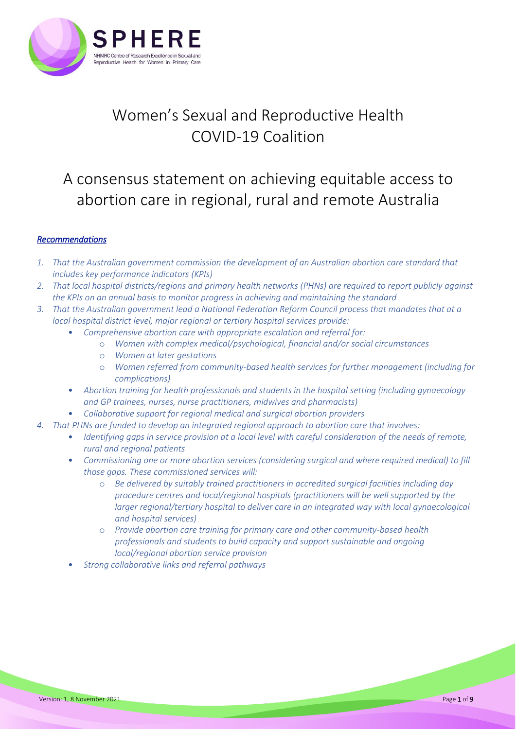

# Women's Sexual and Reproductive Health COVID-19 Coalition

## A consensus statement on achieving equitable access to abortion care in regional, rural and remote Australia

## *Recommendations*

- *1. That the Australian government commission the development of an Australian abortion care standard that includes key performance indicators (KPIs)*
- *2. That local hospital districts/regions and primary health networks (PHNs) are required to report publicly against the KPIs on an annual basis to monitor progress in achieving and maintaining the standard*
- *3. That the Australian government lead a National Federation Reform Council process that mandates that at a local hospital district level, major regional or tertiary hospital services provide:*
	- *Comprehensive abortion care with appropriate escalation and referral for:*
		- o *Women with complex medical/psychological, financial and/or social circumstances*
		- o *Women at later gestations*
		- o *Women referred from community-based health services for further management (including for complications)*
	- *Abortion training for health professionals and students in the hospital setting (including gynaecology and GP trainees, nurses, nurse practitioners, midwives and pharmacists)*
	- *Collaborative support for regional medical and surgical abortion providers*
- *4. That PHNs are funded to develop an integrated regional approach to abortion care that involves:*
	- *Identifying gaps in service provision at a local level with careful consideration of the needs of remote, rural and regional patients*
	- *Commissioning one or more abortion services (considering surgical and where required medical) to fill those gaps. These commissioned services will:*
		- o *Be delivered by suitably trained practitioners in accredited surgical facilities including day procedure centres and local/regional hospitals (practitioners will be well supported by the larger regional/tertiary hospital to deliver care in an integrated way with local gynaecological and hospital services)*
		- o *Provide abortion care training for primary care and other community-based health professionals and students to build capacity and support sustainable and ongoing local/regional abortion service provision*
	- *Strong collaborative links and referral pathways*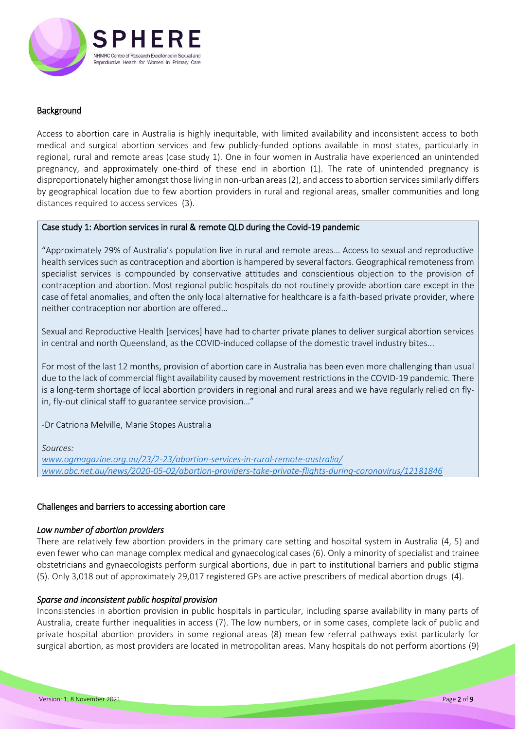

## **Background**

Access to abortion care in Australia is highly inequitable, with limited availability and inconsistent access to both medical and surgical abortion services and few publicly-funded options available in most states, particularly in regional, rural and remote areas (case study 1). One in four women in Australia have experienced an unintended pregnancy, and approximately one-third of these end in abortion (1). The rate of unintended pregnancy is disproportionately higher amongst those living in non-urban areas (2), and access to abortion services similarly differs by geographical location due to few abortion providers in rural and regional areas, smaller communities and long distances required to access services (3).

## Case study 1: Abortion services in rural & remote QLD during the Covid-19 pandemic

"Approximately 29% of Australia's population live in rural and remote areas… Access to sexual and reproductive health services such as contraception and abortion is hampered by several factors. Geographical remoteness from specialist services is compounded by conservative attitudes and conscientious objection to the provision of contraception and abortion. Most regional public hospitals do not routinely provide abortion care except in the case of fetal anomalies, and often the only local alternative for healthcare is a faith-based private provider, where neither contraception nor abortion are offered…

Sexual and Reproductive Health [services] have had to charter private planes to deliver surgical abortion services in central and north Queensland, as the COVID-induced collapse of the domestic travel industry bites...

For most of the last 12 months, provision of abortion care in Australia has been even more challenging than usual due to the lack of commercial flight availability caused by movement restrictions in the COVID-19 pandemic. There is a long-term shortage of local abortion providers in regional and rural areas and we have regularly relied on flyin, fly-out clinical staff to guarantee service provision…"

-Dr Catriona Melville, Marie Stopes Australia

## *Sources:*

*[www.ogmagazine.org.au/23/2-23/abortion-services-in-rural-remote-australia/](http://www.ogmagazine.org.au/23/2-23/abortion-services-in-rural-remote-australia/) [www.abc.net.au/news/2020-05-02/abortion-providers-take-private-flights-during-coronavirus/12181846](http://www.abc.net.au/news/2020-05-02/abortion-providers-take-private-flights-during-coronavirus/12181846)*

## Challenges and barriers to accessing abortion care

## *Low number of abortion providers*

There are relatively few abortion providers in the primary care setting and hospital system in Australia (4, 5) and even fewer who can manage complex medical and gynaecological cases (6). Only a minority of specialist and trainee obstetricians and gynaecologists perform surgical abortions, due in part to institutional barriers and public stigma (5). Only 3,018 out of approximately 29,017 registered GPs are active prescribers of medical abortion drugs (4).

## *Sparse and inconsistent public hospital provision*

Inconsistencies in abortion provision in public hospitals in particular, including sparse availability in many parts of Australia, create further inequalities in access (7). The low numbers, or in some cases, complete lack of public and private hospital abortion providers in some regional areas (8) mean few referral pathways exist particularly for surgical abortion, as most providers are located in metropolitan areas. Many hospitals do not perform abortions (9)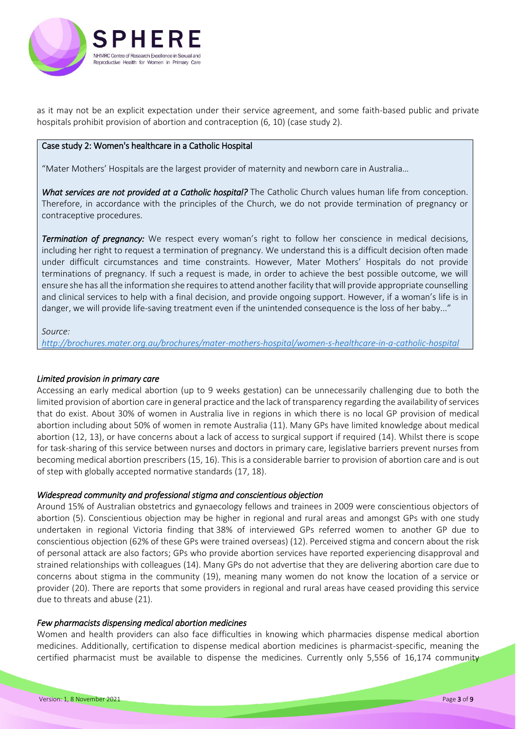

as it may not be an explicit expectation under their service agreement, and some faith-based public and private hospitals prohibit provision of abortion and contraception (6, 10) (case study 2).

### Case study 2: Women's healthcare in a Catholic Hospital

"Mater Mothers' Hospitals are the largest provider of maternity and newborn care in Australia…

*What services are not provided at a Catholic hospital?* The Catholic Church values human life from conception. Therefore, in accordance with the principles of the Church, we do not provide termination of pregnancy or contraceptive procedures.

*Termination of pregnancy:* We respect every woman's right to follow her conscience in medical decisions, including her right to request a termination of pregnancy. We understand this is a difficult decision often made under difficult circumstances and time constraints. However, Mater Mothers' Hospitals do not provide terminations of pregnancy. If such a request is made, in order to achieve the best possible outcome, we will ensure she has all the information she requires to attend another facility that will provide appropriate counselling and clinical services to help with a final decision, and provide ongoing support. However, if a woman's life is in danger, we will provide life-saving treatment even if the unintended consequence is the loss of her baby..."

#### *Source:*

*<http://brochures.mater.org.au/brochures/mater-mothers-hospital/women-s-healthcare-in-a-catholic-hospital>*

## *Limited provision in primary care*

Accessing an early medical abortion (up to 9 weeks gestation) can be unnecessarily challenging due to both the limited provision of abortion care in general practice and the lack of transparency regarding the availability of services that do exist. About 30% of women in Australia live in regions in which there is no local GP provision of medical abortion including about 50% of women in remote Australia (11). Many GPs have limited knowledge about medical abortion (12, 13), or have concerns about a lack of access to surgical support if required (14). Whilst there is scope for task-sharing of this service between nurses and doctors in primary care, legislative barriers prevent nurses from becoming medical abortion prescribers (15, 16). This is a considerable barrier to provision of abortion care and is out of step with globally accepted normative standards (17, 18).

#### *Widespread community and professional stigma and conscientious objection*

Around 15% of Australian obstetrics and gynaecology fellows and trainees in 2009 were conscientious objectors of abortion (5). Conscientious objection may be higher in regional and rural areas and amongst GPs with one study undertaken in regional Victoria finding that 38% of interviewed GPs referred women to another GP due to conscientious objection (62% of these GPs were trained overseas) (12). Perceived stigma and concern about the risk of personal attack are also factors; GPs who provide abortion services have reported experiencing disapproval and strained relationships with colleagues (14). Many GPs do not advertise that they are delivering abortion care due to concerns about stigma in the community (19), meaning many women do not know the location of a service or provider (20). There are reports that some providers in regional and rural areas have ceased providing this service due to threats and abuse (21).

#### *Few pharmacists dispensing medical abortion medicines*

Women and health providers can also face difficulties in knowing which pharmacies dispense medical abortion medicines. Additionally, certification to dispense medical abortion medicines is pharmacist-specific, meaning the certified pharmacist must be available to dispense the medicines. Currently only 5,556 of 16,174 community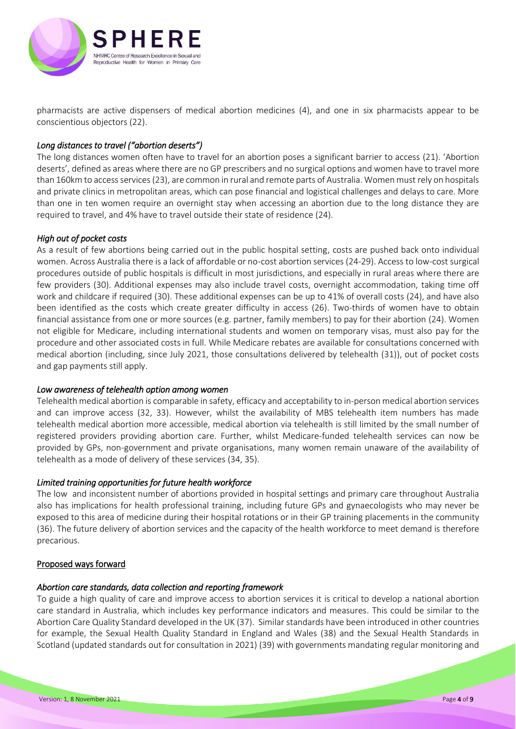

pharmacists are active dispensers of medical abortion medicines (4), and one in six pharmacists appear to be conscientious objectors (22).

## *Long distances to travel ("abortion deserts")*

The long distances women often have to travel for an abortion poses a significant barrier to access (21). 'Abortion deserts', defined as areas where there are no GP prescribers and no surgical options and women have to travel more than 160km to access services (23), are common in rural and remote parts of Australia. Women must rely on hospitals and private clinics in metropolitan areas, which can pose financial and logistical challenges and delays to care. More than one in ten women require an overnight stay when accessing an abortion due to the long distance they are required to travel, and 4% have to travel outside their state of residence (24).

## *High out of pocket costs*

As a result of few abortions being carried out in the public hospital setting, costs are pushed back onto individual women. Across Australia there is a lack of affordable or no-cost abortion services (24-29). Access to low-cost surgical procedures outside of public hospitals is difficult in most jurisdictions, and especially in rural areas where there are few providers (30). Additional expenses may also include travel costs, overnight accommodation, taking time off work and childcare if required (30). These additional expenses can be up to 41% of overall costs (24), and have also been identified as the costs which create greater difficulty in access (26). Two-thirds of women have to obtain financial assistance from one or more sources (e.g. partner, family members) to pay for their abortion (24). Women not eligible for Medicare, including international students and women on temporary visas, must also pay for the procedure and other associated costs in full. While Medicare rebates are available for consultations concerned with medical abortion (including, since July 2021, those consultations delivered by telehealth (31)), out of pocket costs and gap payments still apply.

## *Low awareness of telehealth option among women*

Telehealth medical abortion is comparable in safety, efficacy and acceptability to in-person medical abortion services and can improve access (32, 33). However, whilst the availability of MBS telehealth item numbers has made telehealth medical abortion more accessible, medical abortion via telehealth is still limited by the small number of registered providers providing abortion care. Further, whilst Medicare-funded telehealth services can now be provided by GPs, non-government and private organisations, many women remain unaware of the availability of telehealth as a mode of delivery of these services (34, 35).

## *Limited training opportunities for future health workforce*

The low and inconsistent number of abortions provided in hospital settings and primary care throughout Australia also has implications for health professional training, including future GPs and gynaecologists who may never be exposed to this area of medicine during their hospital rotations or in their GP training placements in the community (36). The future delivery of abortion services and the capacity of the health workforce to meet demand is therefore precarious.

## Proposed ways forward

#### *Abortion care standards, data collection and reporting framework*

To guide a high quality of care and improve access to abortion services it is critical to develop a national abortion care standard in Australia, which includes key performance indicators and measures. This could be similar to the Abortion Care Quality Standard developed in the UK (37). Similar standards have been introduced in other countries for example, the Sexual Health Quality Standard in England and Wales (38) and the Sexual Health Standards in Scotland (updated standards out for consultation in 2021) (39) with governments mandating regular monitoring and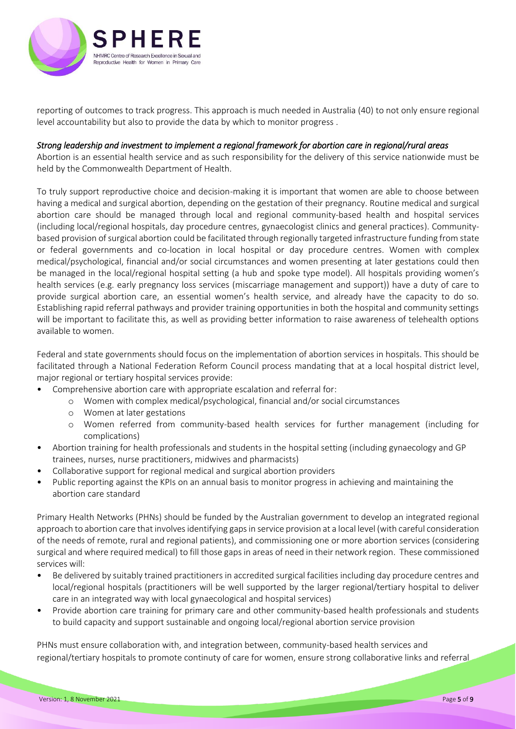

reporting of outcomes to track progress. This approach is much needed in Australia (40) to not only ensure regional level accountability but also to provide the data by which to monitor progress .

## *Strong leadership and investment to implement a regional framework for abortion care in regional/rural areas*

Abortion is an essential health service and as such responsibility for the delivery of this service nationwide must be held by the Commonwealth Department of Health.

To truly support reproductive choice and decision-making it is important that women are able to choose between having a medical and surgical abortion, depending on the gestation of their pregnancy. Routine medical and surgical abortion care should be managed through local and regional community-based health and hospital services (including local/regional hospitals, day procedure centres, gynaecologist clinics and general practices). Communitybased provision of surgical abortion could be facilitated through regionally targeted infrastructure funding from state or federal governments and co-location in local hospital or day procedure centres. Women with complex medical/psychological, financial and/or social circumstances and women presenting at later gestations could then be managed in the local/regional hospital setting (a hub and spoke type model). All hospitals providing women's health services (e.g. early pregnancy loss services (miscarriage management and support)) have a duty of care to provide surgical abortion care, an essential women's health service, and already have the capacity to do so. Establishing rapid referral pathways and provider training opportunities in both the hospital and community settings will be important to facilitate this, as well as providing better information to raise awareness of telehealth options available to women.

Federal and state governments should focus on the implementation of abortion services in hospitals. This should be facilitated through a National Federation Reform Council process mandating that at a local hospital district level, major regional or tertiary hospital services provide:

- Comprehensive abortion care with appropriate escalation and referral for:
	- o Women with complex medical/psychological, financial and/or social circumstances
	- o Women at later gestations
	- o Women referred from community-based health services for further management (including for complications)
- Abortion training for health professionals and students in the hospital setting (including gynaecology and GP trainees, nurses, nurse practitioners, midwives and pharmacists)
- Collaborative support for regional medical and surgical abortion providers
- Public reporting against the KPIs on an annual basis to monitor progress in achieving and maintaining the abortion care standard

Primary Health Networks (PHNs) should be funded by the Australian government to develop an integrated regional approach to abortion care that involves identifying gaps in service provision at a local level (with careful consideration of the needs of remote, rural and regional patients), and commissioning one or more abortion services (considering surgical and where required medical) to fill those gaps in areas of need in their network region. These commissioned services will:

- Be delivered by suitably trained practitioners in accredited surgical facilities including day procedure centres and local/regional hospitals (practitioners will be well supported by the larger regional/tertiary hospital to deliver care in an integrated way with local gynaecological and hospital services)
- Provide abortion care training for primary care and other community-based health professionals and students to build capacity and support sustainable and ongoing local/regional abortion service provision

PHNs must ensure collaboration with, and integration between, community-based health services and regional/tertiary hospitals to promote continuty of care for women, ensure strong collaborative links and referral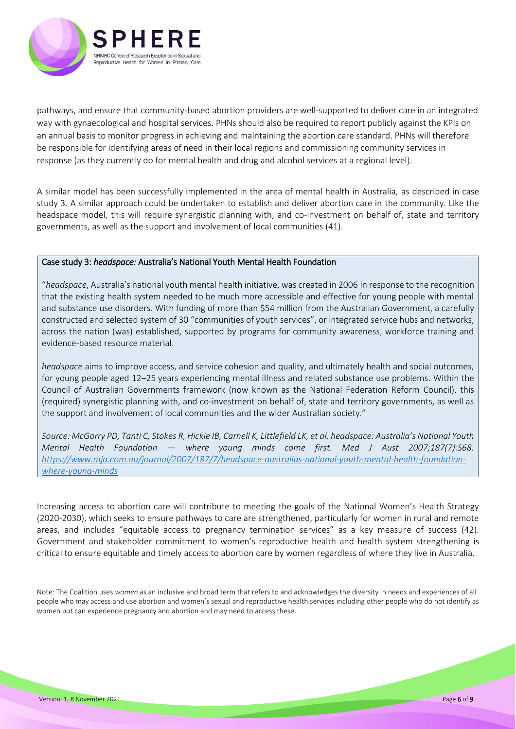

pathways, and ensure that community-based abortion providers are well-supported to deliver care in an integrated way with gynaecological and hospital services. PHNs should also be required to report publicly against the KPIs on an annual basis to monitor progress in achieving and maintaining the abortion care standard. PHNs will therefore be responsible for identifying areas of need in their local regions and commissioning community services in response (as they currently do for mental health and drug and alcohol services at a regional level).

A similar model has been successfully implemented in the area of mental health in Australia, as described in case study 3. A similar approach could be undertaken to establish and deliver abortion care in the community. Like the headspace model, this will require synergistic planning with, and co-investment on behalf of, state and territory governments, as well as the support and involvement of local communities (41).

## Case study 3: *headspace:* Australia's National Youth Mental Health Foundation

"*headspace*, Australia's national youth mental health initiative, was created in 2006 in response to the recognition that the existing health system needed to be much more accessible and effective for young people with mental and substance use disorders. With funding of more than \$54 million from the Australian Government, a carefully constructed and selected system of 30 "communities of youth services", or integrated service hubs and networks, across the nation (was) established, supported by programs for community awareness, workforce training and evidence-based resource material.

*headspace* aims to improve access, and service cohesion and quality, and ultimately health and social outcomes, for young people aged 12–25 years experiencing mental illness and related substance use problems. Within the Council of Australian Governments framework (now known as the National Federation Reform Council), this (required) synergistic planning with, and co-investment on behalf of, state and territory governments, as well as the support and involvement of local communities and the wider Australian society."

*Source: McGorry PD, Tanti C, Stokes R, Hickie IB, Carnell K, Littlefield LK, et al. headspace: Australia's National Youth Mental Health Foundation — where young minds come first. Med J Aust 2007;187(7):S68. [https://www.mja.com.au/journal/2007/187/7/headspace-australias-national-youth-mental-health-foundation](https://www.mja.com.au/journal/2007/187/7/headspace-australias-national-youth-mental-health-foundation-where-young-minds)[where-young-minds](https://www.mja.com.au/journal/2007/187/7/headspace-australias-national-youth-mental-health-foundation-where-young-minds)*

Increasing access to abortion care will contribute to meeting the goals of the National Women's Health Strategy (2020-2030), which seeks to ensure pathways to care are strengthened, particularly for women in rural and remote areas, and includes "equitable access to pregnancy termination services" as a key measure of success (42). Government and stakeholder commitment to women's reproductive health and health system strengthening is critical to ensure equitable and timely access to abortion care by women regardless of where they live in Australia.

Note: The Coalition uses *women* as an inclusive and broad term that refers to and acknowledges the diversity in needs and experiences of all people who may access and use abortion and women's sexual and reproductive health services including other people who do not identify as women but can experience pregnancy and abortion and may need to access these.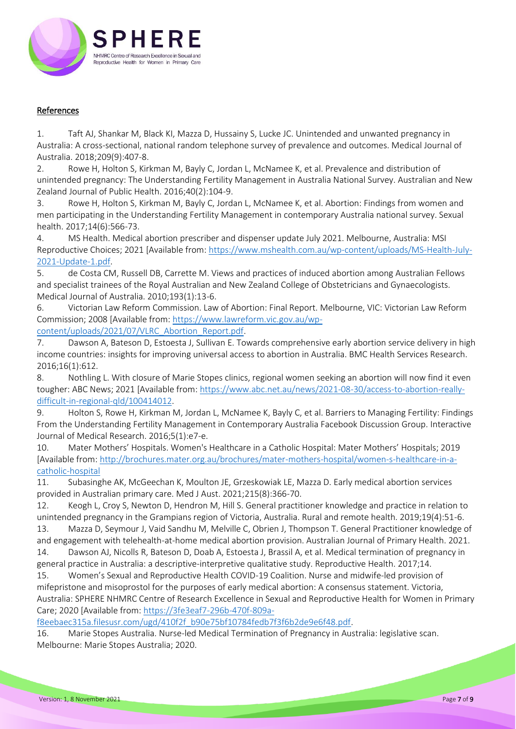

## References

1. Taft AJ, Shankar M, Black KI, Mazza D, Hussainy S, Lucke JC. Unintended and unwanted pregnancy in Australia: A cross-sectional, national random telephone survey of prevalence and outcomes. Medical Journal of Australia. 2018;209(9):407-8.

2. Rowe H, Holton S, Kirkman M, Bayly C, Jordan L, McNamee K, et al. Prevalence and distribution of unintended pregnancy: The Understanding Fertility Management in Australia National Survey. Australian and New Zealand Journal of Public Health. 2016;40(2):104-9.

3. Rowe H, Holton S, Kirkman M, Bayly C, Jordan L, McNamee K, et al. Abortion: Findings from women and men participating in the Understanding Fertility Management in contemporary Australia national survey. Sexual health. 2017;14(6):566-73.

4. MS Health. Medical abortion prescriber and dispenser update July 2021. Melbourne, Australia: MSI Reproductive Choices; 2021 [Available from: [https://www.mshealth.com.au/wp-content/uploads/MS-Health-July-](https://www.mshealth.com.au/wp-content/uploads/MS-Health-July-2021-Update-1.pdf)[2021-Update-1.pdf.](https://www.mshealth.com.au/wp-content/uploads/MS-Health-July-2021-Update-1.pdf)

5. de Costa CM, Russell DB, Carrette M. Views and practices of induced abortion among Australian Fellows and specialist trainees of the Royal Australian and New Zealand College of Obstetricians and Gynaecologists. Medical Journal of Australia. 2010;193(1):13-6.

6. Victorian Law Reform Commission. Law of Abortion: Final Report. Melbourne, VIC: Victorian Law Reform Commission; 2008 [Available from: [https://www.lawreform.vic.gov.au/wp-](https://www.lawreform.vic.gov.au/wp-content/uploads/2021/07/VLRC_Abortion_Report.pdf)

[content/uploads/2021/07/VLRC\\_Abortion\\_Report.pdf.](https://www.lawreform.vic.gov.au/wp-content/uploads/2021/07/VLRC_Abortion_Report.pdf)

7. Dawson A, Bateson D, Estoesta J, Sullivan E. Towards comprehensive early abortion service delivery in high income countries: insights for improving universal access to abortion in Australia. BMC Health Services Research. 2016;16(1):612.

8. Nothling L. With closure of Marie Stopes clinics, regional women seeking an abortion will now find it even tougher: ABC News; 2021 [Available from[: https://www.abc.net.au/news/2021-08-30/access-to-abortion-really](https://www.abc.net.au/news/2021-08-30/access-to-abortion-really-difficult-in-regional-qld/100414012)[difficult-in-regional-qld/100414012.](https://www.abc.net.au/news/2021-08-30/access-to-abortion-really-difficult-in-regional-qld/100414012)

9. Holton S, Rowe H, Kirkman M, Jordan L, McNamee K, Bayly C, et al. Barriers to Managing Fertility: Findings From the Understanding Fertility Management in Contemporary Australia Facebook Discussion Group. Interactive Journal of Medical Research. 2016;5(1):e7-e.

10. Mater Mothers' Hospitals. Women's Healthcare in a Catholic Hospital: Mater Mothers' Hospitals; 2019 [Available from: [http://brochures.mater.org.au/brochures/mater-mothers-hospital/women-s-healthcare-in-a](http://brochures.mater.org.au/brochures/mater-mothers-hospital/women-s-healthcare-in-a-catholic-hospital)[catholic-hospital](http://brochures.mater.org.au/brochures/mater-mothers-hospital/women-s-healthcare-in-a-catholic-hospital)

11. Subasinghe AK, McGeechan K, Moulton JE, Grzeskowiak LE, Mazza D. Early medical abortion services provided in Australian primary care. Med J Aust. 2021;215(8):366-70.

12. Keogh L, Croy S, Newton D, Hendron M, Hill S. General practitioner knowledge and practice in relation to unintended pregnancy in the Grampians region of Victoria, Australia. Rural and remote health. 2019;19(4):51-6. 13. Mazza D, Seymour J, Vaid Sandhu M, Melville C, Obrien J, Thompson T. General Practitioner knowledge of

and engagement with telehealth-at-home medical abortion provision. Australian Journal of Primary Health. 2021. 14. Dawson AJ, Nicolls R, Bateson D, Doab A, Estoesta J, Brassil A, et al. Medical termination of pregnancy in general practice in Australia: a descriptive-interpretive qualitative study. Reproductive Health. 2017;14.

15. Women's Sexual and Reproductive Health COVID-19 Coalition. Nurse and midwife-led provision of mifepristone and misoprostol for the purposes of early medical abortion: A consensus statement. Victoria, Australia: SPHERE NHMRC Centre of Research Excellence in Sexual and Reproductive Health for Women in Primary Care; 2020 [Available from[: https://3fe3eaf7-296b-470f-809a-](https://3fe3eaf7-296b-470f-809a-f8eebaec315a.filesusr.com/ugd/410f2f_b90e75bf10784fedb7f3f6b2de9e6f48.pdf)

[f8eebaec315a.filesusr.com/ugd/410f2f\\_b90e75bf10784fedb7f3f6b2de9e6f48.pdf.](https://3fe3eaf7-296b-470f-809a-f8eebaec315a.filesusr.com/ugd/410f2f_b90e75bf10784fedb7f3f6b2de9e6f48.pdf)

16. Marie Stopes Australia. Nurse-led Medical Termination of Pregnancy in Australia: legislative scan. Melbourne: Marie Stopes Australia; 2020.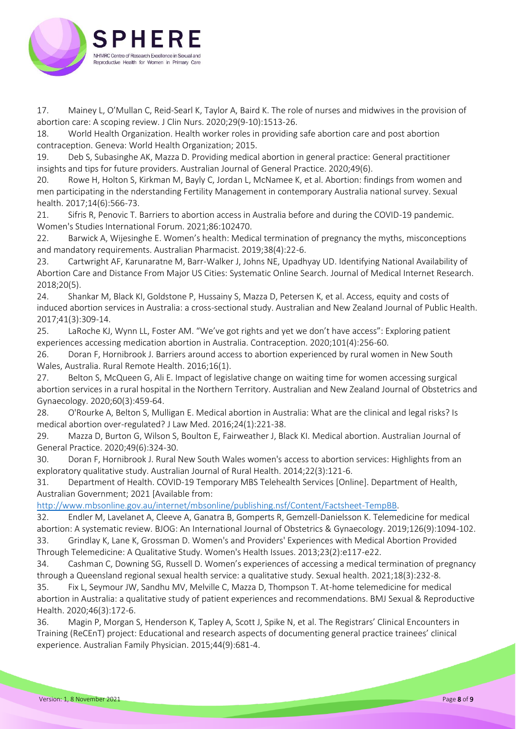

17. Mainey L, O'Mullan C, Reid-Searl K, Taylor A, Baird K. The role of nurses and midwives in the provision of abortion care: A scoping review. J Clin Nurs. 2020;29(9-10):1513-26.

18. World Health Organization. Health worker roles in providing safe abortion care and post abortion contraception. Geneva: World Health Organization; 2015.

19. Deb S, Subasinghe AK, Mazza D. Providing medical abortion in general practice: General practitioner insights and tips for future providers. Australian Journal of General Practice. 2020;49(6).

20. Rowe H, Holton S, Kirkman M, Bayly C, Jordan L, McNamee K, et al. Abortion: findings from women and men participating in the nderstanding Fertility Management in contemporary Australia national survey. Sexual health. 2017;14(6):566-73.

21. Sifris R, Penovic T. Barriers to abortion access in Australia before and during the COVID-19 pandemic. Women's Studies International Forum. 2021;86:102470.

22. Barwick A, Wijesinghe E. Women's health: Medical termination of pregnancy the myths, misconceptions and mandatory requirements. Australian Pharmacist. 2019;38(4):22-6.

23. Cartwright AF, Karunaratne M, Barr-Walker J, Johns NE, Upadhyay UD. Identifying National Availability of Abortion Care and Distance From Major US Cities: Systematic Online Search. Journal of Medical Internet Research. 2018;20(5).

24. Shankar M, Black KI, Goldstone P, Hussainy S, Mazza D, Petersen K, et al. Access, equity and costs of induced abortion services in Australia: a cross-sectional study. Australian and New Zealand Journal of Public Health. 2017;41(3):309-14.

25. LaRoche KJ, Wynn LL, Foster AM. "We've got rights and yet we don't have access": Exploring patient experiences accessing medication abortion in Australia. Contraception. 2020;101(4):256-60.

26. Doran F, Hornibrook J. Barriers around access to abortion experienced by rural women in New South Wales, Australia. Rural Remote Health. 2016;16(1).

27. Belton S, McQueen G, Ali E. Impact of legislative change on waiting time for women accessing surgical abortion services in a rural hospital in the Northern Territory. Australian and New Zealand Journal of Obstetrics and Gynaecology. 2020;60(3):459-64.

28. O'Rourke A, Belton S, Mulligan E. Medical abortion in Australia: What are the clinical and legal risks? Is medical abortion over-regulated? J Law Med. 2016;24(1):221-38.

29. Mazza D, Burton G, Wilson S, Boulton E, Fairweather J, Black KI. Medical abortion. Australian Journal of General Practice. 2020;49(6):324-30.

30. Doran F, Hornibrook J. Rural New South Wales women's access to abortion services: Highlights from an exploratory qualitative study. Australian Journal of Rural Health. 2014;22(3):121-6.

31. Department of Health. COVID-19 Temporary MBS Telehealth Services [Online]. Department of Health, Australian Government; 2021 [Available from:

[http://www.mbsonline.gov.au/internet/mbsonline/publishing.nsf/Content/Factsheet-TempBB.](http://www.mbsonline.gov.au/internet/mbsonline/publishing.nsf/Content/Factsheet-TempBB)

32. Endler M, Lavelanet A, Cleeve A, Ganatra B, Gomperts R, Gemzell-Danielsson K. Telemedicine for medical abortion: A systematic review. BJOG: An International Journal of Obstetrics & Gynaecology. 2019;126(9):1094-102.

33. Grindlay K, Lane K, Grossman D. Women's and Providers' Experiences with Medical Abortion Provided Through Telemedicine: A Qualitative Study. Women's Health Issues. 2013;23(2):e117-e22.

34. Cashman C, Downing SG, Russell D. Women's experiences of accessing a medical termination of pregnancy through a Queensland regional sexual health service: a qualitative study. Sexual health. 2021;18(3):232-8.

35. Fix L, Seymour JW, Sandhu MV, Melville C, Mazza D, Thompson T. At-home telemedicine for medical abortion in Australia: a qualitative study of patient experiences and recommendations. BMJ Sexual & Reproductive Health. 2020;46(3):172-6.

36. Magin P, Morgan S, Henderson K, Tapley A, Scott J, Spike N, et al. The Registrars' Clinical Encounters in Training (ReCEnT) project: Educational and research aspects of documenting general practice trainees' clinical experience. Australian Family Physician. 2015;44(9):681-4.